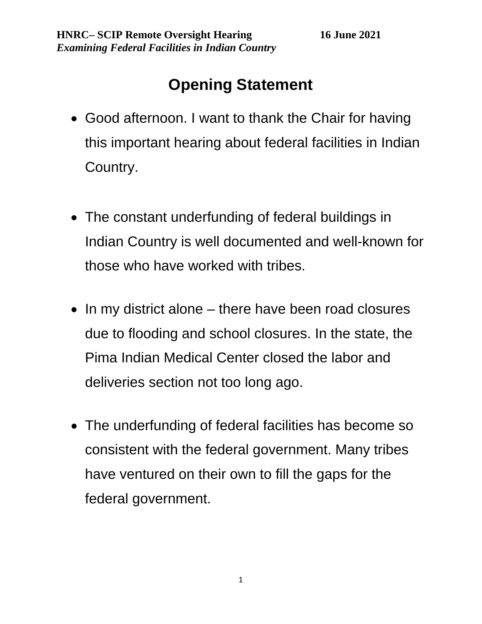## **Opening Statement**

- Good afternoon. I want to thank the Chair for having this important hearing about federal facilities in Indian Country.
- The constant underfunding of federal buildings in Indian Country is well documented and well-known for those who have worked with tribes.
- In my district alone there have been road closures due to flooding and school closures. In the state, the Pima Indian Medical Center closed the labor and deliveries section not too long ago.
- The underfunding of federal facilities has become so consistent with the federal government. Many tribes have ventured on their own to fill the gaps for the federal government.